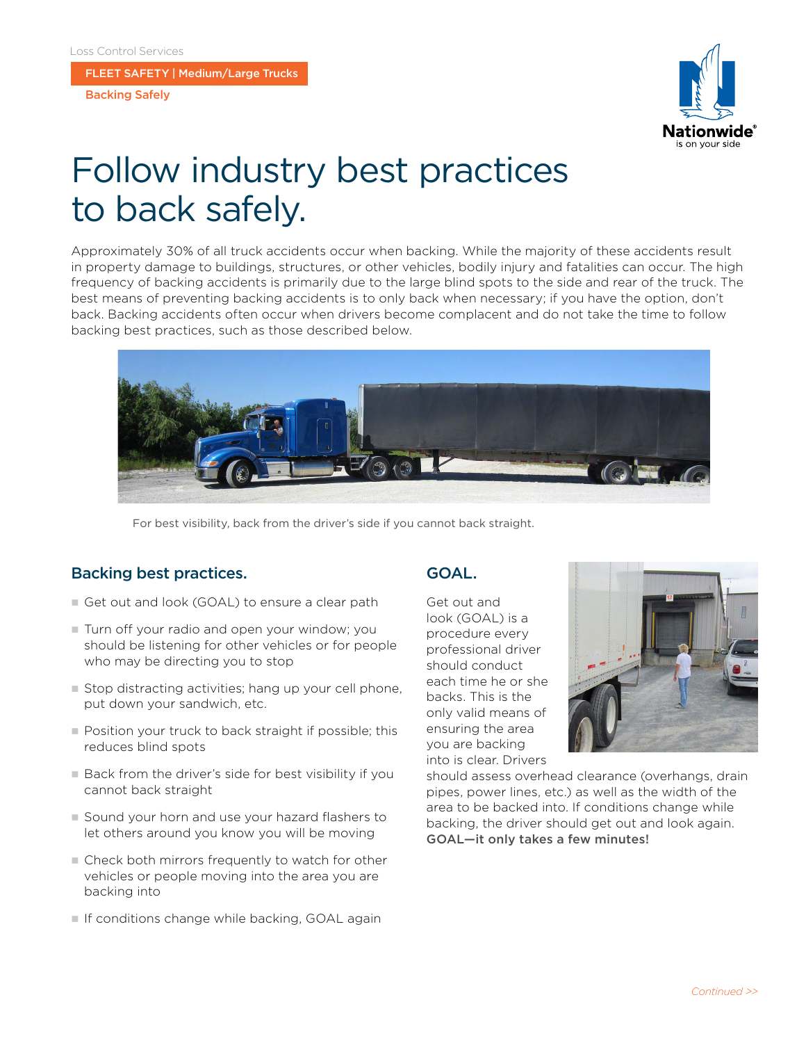FLEET SAFETY | Medium/Large Trucks

Backing Safely



# Follow industry best practices to back safely.

Approximately 30% of all truck accidents occur when backing. While the majority of these accidents result in property damage to buildings, structures, or other vehicles, bodily injury and fatalities can occur. The high frequency of backing accidents is primarily due to the large blind spots to the side and rear of the truck. The best means of preventing backing accidents is to only back when necessary; if you have the option, don't back. Backing accidents often occur when drivers become complacent and do not take the time to follow backing best practices, such as those described below.



For best visibility, back from the driver's side if you cannot back straight.

## Backing best practices.

- Get out and look (GOAL) to ensure a clear path
- $\blacksquare$  Turn off your radio and open your window; you should be listening for other vehicles or for people who may be directing you to stop
- $\blacksquare$  Stop distracting activities; hang up your cell phone, put down your sandwich, etc.
- **n** Position your truck to back straight if possible; this reduces blind spots
- $\square$  Back from the driver's side for best visibility if you cannot back straight
- Sound your horn and use your hazard flashers to let others around you know you will be moving
- Check both mirrors frequently to watch for other vehicles or people moving into the area you are backing into
- If conditions change while backing, GOAL again

#### GOAL.

Get out and look (GOAL) is a procedure every professional driver should conduct each time he or she backs. This is the only valid means of ensuring the area you are backing into is clear. Drivers



should assess overhead clearance (overhangs, drain pipes, power lines, etc.) as well as the width of the area to be backed into. If conditions change while backing, the driver should get out and look again. GOAL—it only takes a few minutes!